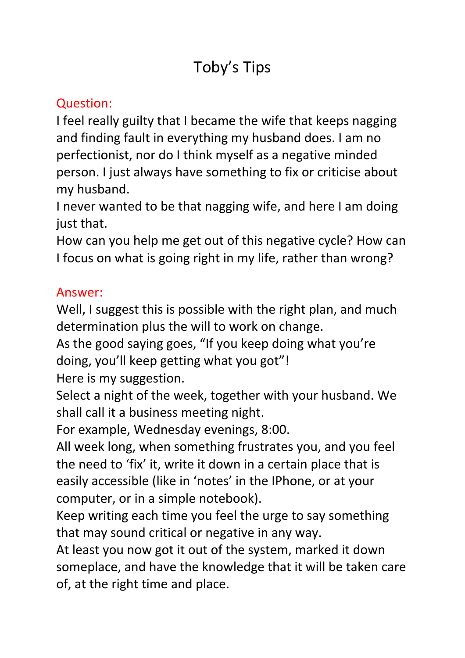# Toby's Tips

## Question:

I feel really guilty that I became the wife that keeps nagging and finding fault in everything my husband does. I am no perfectionist, nor do I think myself as a negative minded person. I just always have something to fix or criticise about my husband.

I never wanted to be that nagging wife, and here I am doing just that.

How can you help me get out of this negative cycle? How can I focus on what is going right in my life, rather than wrong?

#### Answer:

Well, I suggest this is possible with the right plan, and much determination plus the will to work on change.

As the good saying goes, "If you keep doing what you're doing, you'll keep getting what you got"!

Here is my suggestion.

Select a night of the week, together with your husband. We shall call it a business meeting night.

For example, Wednesday evenings, 8:00.

All week long, when something frustrates you, and you feel the need to 'fix' it, write it down in a certain place that is easily accessible (like in 'notes' in the IPhone, or at your computer, or in a simple notebook).

Keep writing each time you feel the urge to say something that may sound critical or negative in any way.

At least you now got it out of the system, marked it down someplace, and have the knowledge that it will be taken care of, at the right time and place.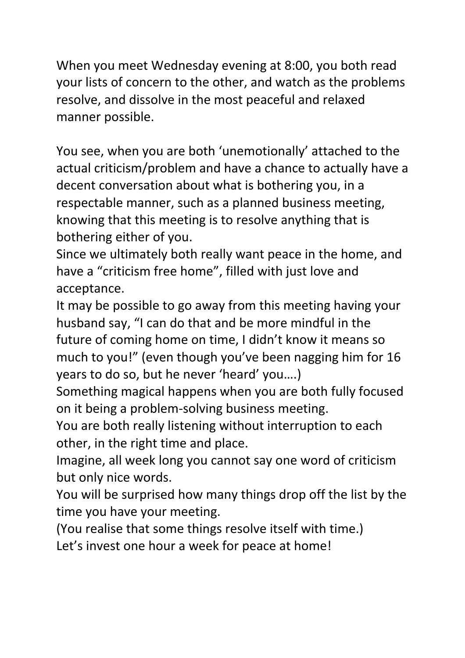When you meet Wednesday evening at 8:00, you both read your lists of concern to the other, and watch as the problems resolve, and dissolve in the most peaceful and relaxed manner possible.

You see, when you are both 'unemotionally' attached to the actual criticism/problem and have a chance to actually have a decent conversation about what is bothering you, in a respectable manner, such as a planned business meeting, knowing that this meeting is to resolve anything that is bothering either of you.

Since we ultimately both really want peace in the home, and have a "criticism free home", filled with just love and acceptance.

It may be possible to go away from this meeting having your husband say, "I can do that and be more mindful in the future of coming home on time, I didn't know it means so much to you!" (even though you've been nagging him for 16 years to do so, but he never 'heard' you….)

Something magical happens when you are both fully focused on it being a problem-solving business meeting.

You are both really listening without interruption to each other, in the right time and place.

Imagine, all week long you cannot say one word of criticism but only nice words.

You will be surprised how many things drop off the list by the time you have your meeting.

(You realise that some things resolve itself with time.)

Let's invest one hour a week for peace at home!